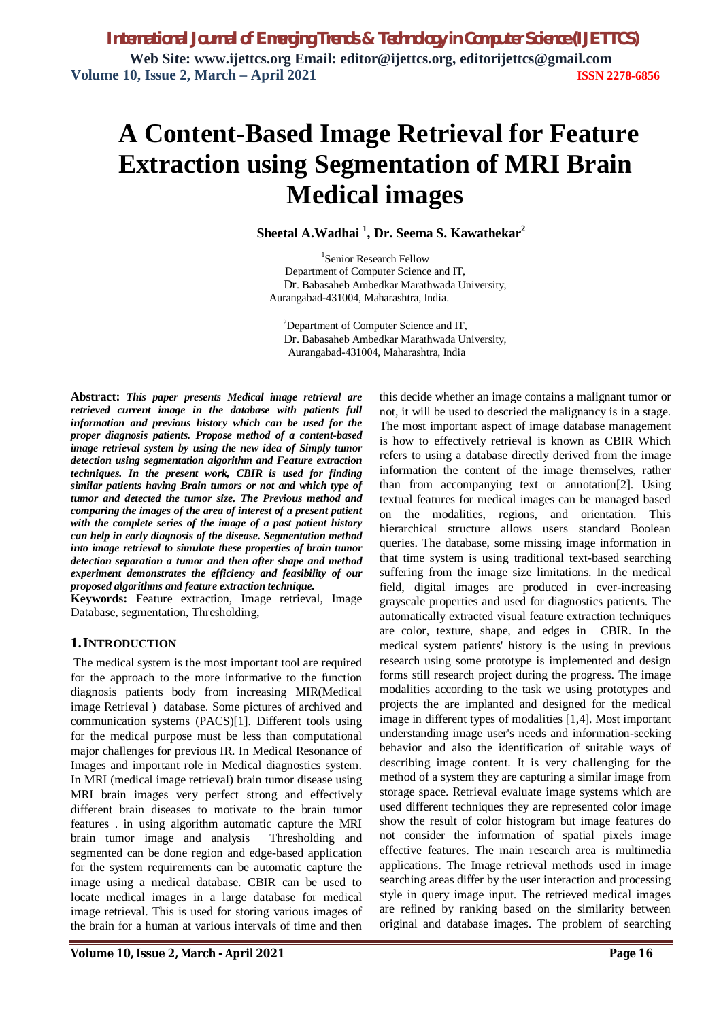*International Journal of Emerging Trends & Technology in Computer Science (IJETTCS)* **Web Site: www.ijettcs.org Email: editor@ijettcs.org, editorijettcs@gmail.com Volume 10, Issue 2, March – April 2021 ISSN 2278-6856**

# **A Content-Based Image Retrieval for Feature Extraction using Segmentation of MRI Brain Medical images**

 **Sheetal A.Wadhai <sup>1</sup> , Dr. Seema S. Kawathekar<sup>2</sup>**

1 Senior Research Fellow Department of Computer Science and IT, Dr. Babasaheb Ambedkar Marathwada University, Aurangabad-431004, Maharashtra, India.

 ${}^{2}$ Department of Computer Science and IT, Dr. Babasaheb Ambedkar Marathwada University, Aurangabad-431004, Maharashtra, India

**Abstract:** *This paper presents Medical image retrieval are retrieved current image in the database with patients full information and previous history which can be used for the proper diagnosis patients. Propose method of a content-based image retrieval system by using the new idea of Simply tumor detection using segmentation algorithm and Feature extraction techniques. In the present work, CBIR is used for finding similar patients having Brain tumors or not and which type of tumor and detected the tumor size. The Previous method and comparing the images of the area of interest of a present patient with the complete series of the image of a past patient history can help in early diagnosis of the disease. Segmentation method into image retrieval to simulate these properties of brain tumor detection separation a tumor and then after shape and method experiment demonstrates the efficiency and feasibility of our proposed algorithms and feature extraction technique.*

**Keywords:** Feature extraction, Image retrieval, Image Database, segmentation, Thresholding,

#### **1.INTRODUCTION**

The medical system is the most important tool are required for the approach to the more informative to the function diagnosis patients body from increasing MIR(Medical image Retrieval ) database. Some pictures of archived and communication systems (PACS)[1]. Different tools using for the medical purpose must be less than computational major challenges for previous IR. In Medical Resonance of Images and important role in Medical diagnostics system. In MRI (medical image retrieval) brain tumor disease using MRI brain images very perfect strong and effectively different brain diseases to motivate to the brain tumor features . in using algorithm automatic capture the MRI brain tumor image and analysis Thresholding and segmented can be done region and edge-based application for the system requirements can be automatic capture the image using a medical database. CBIR can be used to locate medical images in a large database for medical image retrieval. This is used for storing various images of the brain for a human at various intervals of time and then

this decide whether an image contains a malignant tumor or not, it will be used to descried the malignancy is in a stage. The most important aspect of image database management is how to effectively retrieval is known as CBIR Which refers to using a database directly derived from the image information the content of the image themselves, rather than from accompanying text or annotation[2]. Using textual features for medical images can be managed based on the modalities, regions, and orientation. This hierarchical structure allows users standard Boolean queries. The database, some missing image information in that time system is using traditional text-based searching suffering from the image size limitations. In the medical field, digital images are produced in ever-increasing grayscale properties and used for diagnostics patients. The automatically extracted visual feature extraction techniques are color, texture, shape, and edges in CBIR. In the medical system patients' history is the using in previous research using some prototype is implemented and design forms still research project during the progress. The image modalities according to the task we using prototypes and projects the are implanted and designed for the medical image in different types of modalities [1,4]. Most important understanding image user's needs and information-seeking behavior and also the identification of suitable ways of describing image content. It is very challenging for the method of a system they are capturing a similar image from storage space. Retrieval evaluate image systems which are used different techniques they are represented color image show the result of color histogram but image features do not consider the information of spatial pixels image effective features. The main research area is multimedia applications. The Image retrieval methods used in image searching areas differ by the user interaction and processing style in query image input. The retrieved medical images are refined by ranking based on the similarity between original and database images. The problem of searching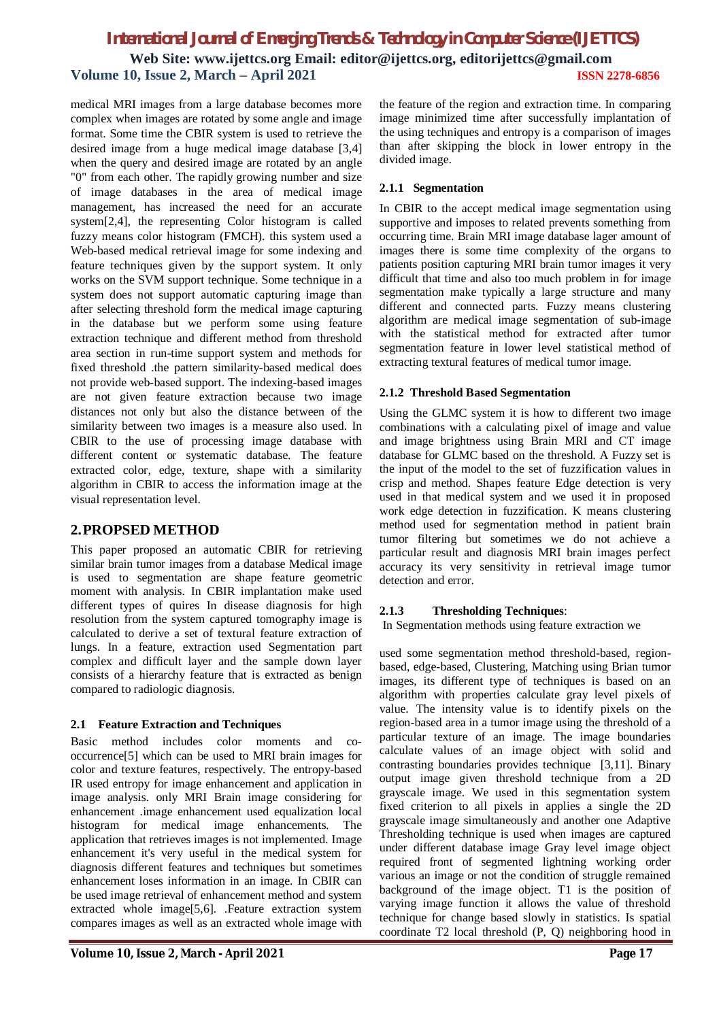## *International Journal of Emerging Trends & Technology in Computer Science (IJETTCS)* **Web Site: www.ijettcs.org Email: editor@ijettcs.org, editorijettcs@gmail.com Volume 10, Issue 2, March – April 2021 ISSN 2278-6856**

medical MRI images from a large database becomes more complex when images are rotated by some angle and image format. Some time the CBIR system is used to retrieve the desired image from a huge medical image database [3,4] when the query and desired image are rotated by an angle "0" from each other. The rapidly growing number and size of image databases in the area of medical image management, has increased the need for an accurate system[2,4], the representing Color histogram is called fuzzy means color histogram (FMCH). this system used a Web-based medical retrieval image for some indexing and feature techniques given by the support system. It only works on the SVM support technique. Some technique in a system does not support automatic capturing image than after selecting threshold form the medical image capturing in the database but we perform some using feature extraction technique and different method from threshold area section in run-time support system and methods for fixed threshold .the pattern similarity-based medical does not provide web-based support. The indexing-based images are not given feature extraction because two image distances not only but also the distance between of the similarity between two images is a measure also used. In CBIR to the use of processing image database with different content or systematic database. The feature extracted color, edge, texture, shape with a similarity algorithm in CBIR to access the information image at the visual representation level.

#### **2.PROPSED METHOD**

This paper proposed an automatic CBIR for retrieving similar brain tumor images from a database Medical image is used to segmentation are shape feature geometric moment with analysis. In CBIR implantation make used different types of quires In disease diagnosis for high resolution from the system captured tomography image is calculated to derive a set of textural feature extraction of lungs. In a feature, extraction used Segmentation part complex and difficult layer and the sample down layer consists of a hierarchy feature that is extracted as benign compared to radiologic diagnosis.

#### **2.1 Feature Extraction and Techniques**

Basic method includes color moments and cooccurrence[5] which can be used to MRI brain images for color and texture features, respectively. The entropy-based IR used entropy for image enhancement and application in image analysis. only MRI Brain image considering for enhancement .image enhancement used equalization local histogram for medical image enhancements. The application that retrieves images is not implemented. Image enhancement it's very useful in the medical system for diagnosis different features and techniques but sometimes enhancement loses information in an image. In CBIR can be used image retrieval of enhancement method and system extracted whole image[5,6]. .Feature extraction system compares images as well as an extracted whole image with

the feature of the region and extraction time. In comparing image minimized time after successfully implantation of the using techniques and entropy is a comparison of images than after skipping the block in lower entropy in the divided image.

#### **2.1.1 Segmentation**

In CBIR to the accept medical image segmentation using supportive and imposes to related prevents something from occurring time. Brain MRI image database lager amount of images there is some time complexity of the organs to patients position capturing MRI brain tumor images it very difficult that time and also too much problem in for image segmentation make typically a large structure and many different and connected parts. Fuzzy means clustering algorithm are medical image segmentation of sub-image with the statistical method for extracted after tumor segmentation feature in lower level statistical method of extracting textural features of medical tumor image.

#### **2.1.2 Threshold Based Segmentation**

Using the GLMC system it is how to different two image combinations with a calculating pixel of image and value and image brightness using Brain MRI and CT image database for GLMC based on the threshold. A Fuzzy set is the input of the model to the set of fuzzification values in crisp and method. Shapes feature Edge detection is very used in that medical system and we used it in proposed work edge detection in fuzzification. K means clustering method used for segmentation method in patient brain tumor filtering but sometimes we do not achieve a particular result and diagnosis MRI brain images perfect accuracy its very sensitivity in retrieval image tumor detection and error.

#### **2.1.3 Thresholding Techniques**:

In Segmentation methods using feature extraction we

used some segmentation method threshold-based, regionbased, edge-based, Clustering, Matching using Brian tumor images, its different type of techniques is based on an algorithm with properties calculate gray level pixels of value. The intensity value is to identify pixels on the region-based area in a tumor image using the threshold of a particular texture of an image. The image boundaries calculate values of an image object with solid and contrasting boundaries provides technique [3,11]. Binary output image given threshold technique from a 2D grayscale image. We used in this segmentation system fixed criterion to all pixels in applies a single the 2D grayscale image simultaneously and another one Adaptive Thresholding technique is used when images are captured under different database image Gray level image object required front of segmented lightning working order various an image or not the condition of struggle remained background of the image object. T1 is the position of varying image function it allows the value of threshold technique for change based slowly in statistics. Is spatial coordinate T2 local threshold (P, Q) neighboring hood in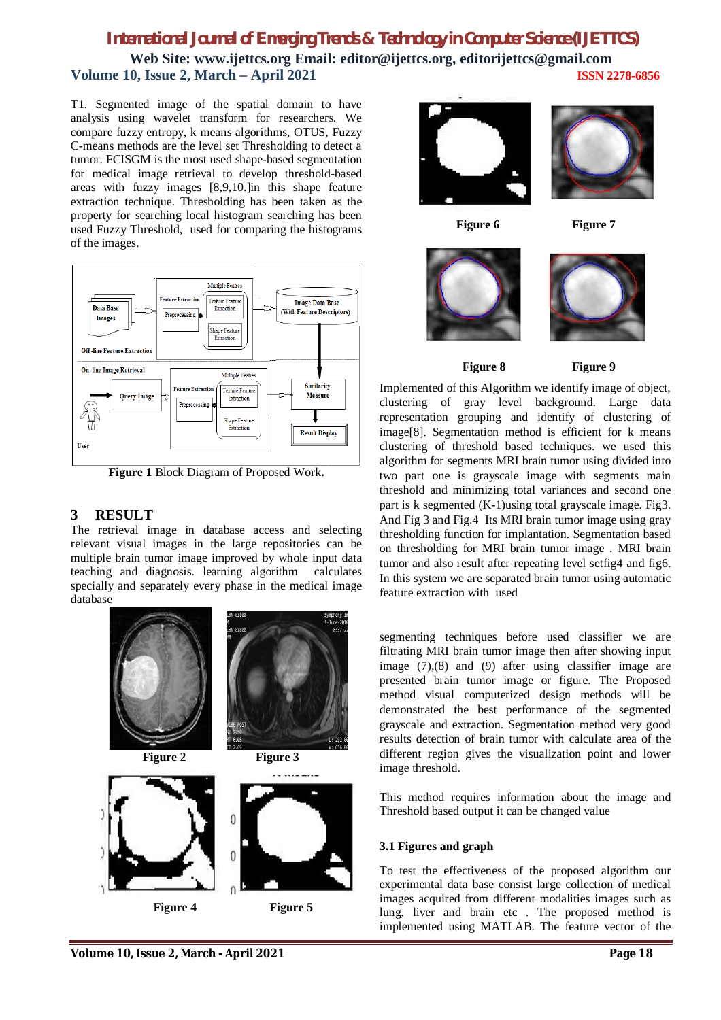## *International Journal of Emerging Trends & Technology in Computer Science (IJETTCS)*

**Web Site: www.ijettcs.org Email: editor@ijettcs.org, editorijettcs@gmail.com Volume 10, Issue 2, March – April 2021 ISSN 2278-6856**

T1. Segmented image of the spatial domain to have analysis using wavelet transform for researchers. We compare fuzzy entropy, k means algorithms, OTUS, Fuzzy C-means methods are the level set Thresholding to detect a tumor. FCISGM is the most used shape-based segmentation for medical image retrieval to develop threshold-based areas with fuzzy images [8,9,10.]in this shape feature extraction technique. Thresholding has been taken as the property for searching local histogram searching has been used Fuzzy Threshold, used for comparing the histograms of the images.



**Figure 1** Block Diagram of Proposed Work**.**

#### **3 RESULT**

The retrieval image in database access and selecting relevant visual images in the large repositories can be multiple brain tumor image improved by whole input data teaching and diagnosis. learning algorithm calculates specially and separately every phase in the medical image database





 **Figure 6 Figure 7** 



 **Figure 8 Figure 9** 

Implemented of this Algorithm we identify image of object, clustering of gray level background. Large data representation grouping and identify of clustering of image[8]. Segmentation method is efficient for k means clustering of threshold based techniques. we used this algorithm for segments MRI brain tumor using divided into two part one is grayscale image with segments main threshold and minimizing total variances and second one part is k segmented (K-1)using total grayscale image. Fig3. And Fig 3 and Fig.4 Its MRI brain tumor image using gray thresholding function for implantation. Segmentation based on thresholding for MRI brain tumor image . MRI brain tumor and also result after repeating level setfig4 and fig6. In this system we are separated brain tumor using automatic feature extraction with used

segmenting techniques before used classifier we are filtrating MRI brain tumor image then after showing input image (7),(8) and (9) after using classifier image are presented brain tumor image or figure. The Proposed method visual computerized design methods will be demonstrated the best performance of the segmented grayscale and extraction. Segmentation method very good results detection of brain tumor with calculate area of the different region gives the visualization point and lower image threshold.

This method requires information about the image and Threshold based output it can be changed value

#### **3.1 Figures and graph**

To test the effectiveness of the proposed algorithm our experimental data base consist large collection of medical images acquired from different modalities images such as lung, liver and brain etc . The proposed method is implemented using MATLAB. The feature vector of the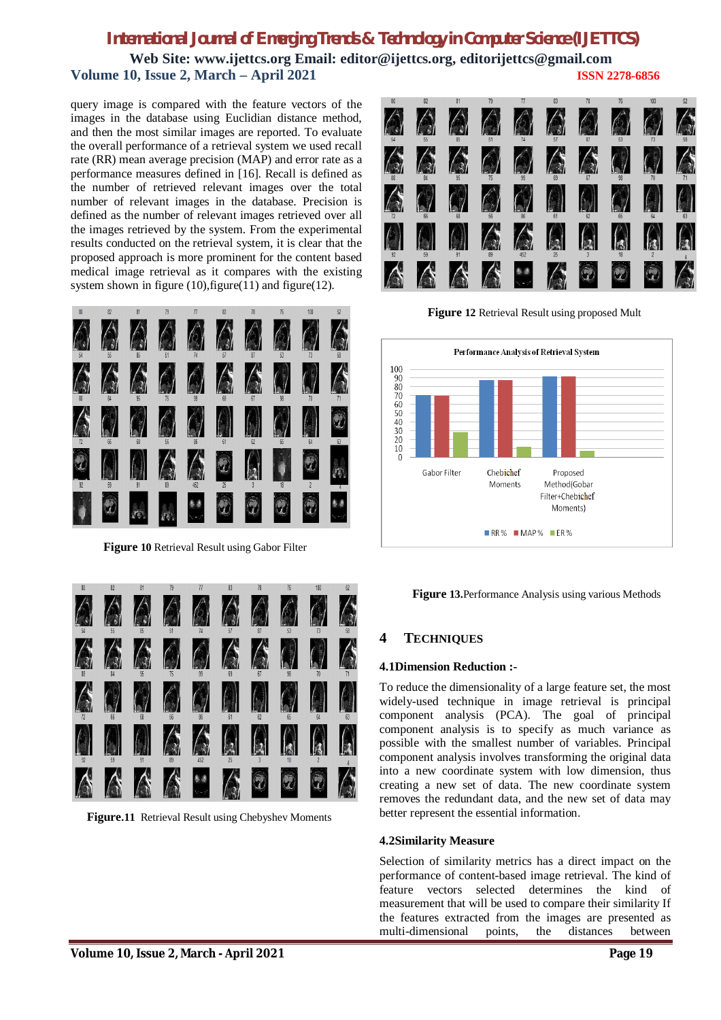## *International Journal of Emerging Trends & Technology in Computer Science (IJETTCS)* **Web Site: www.ijettcs.org Email: editor@ijettcs.org, editorijettcs@gmail.com**

**Volume 10, Issue 2, March – April 2021 ISSN 2278-6856**

query image is compared with the feature vectors of the images in the database using Euclidian distance method, and then the most similar images are reported. To evaluate the overall performance of a retrieval system we used recall rate (RR) mean average precision (MAP) and error rate as a performance measures defined in [16]. Recall is defined as the number of retrieved relevant images over the total number of relevant images in the database. Precision is defined as the number of relevant images retrieved over all the images retrieved by the system. From the experimental results conducted on the retrieval system, it is clear that the proposed approach is more prominent for the content based medical image retrieval as it compares with the existing system shown in figure  $(10)$ , figure  $(11)$  and figure  $(12)$ .



 **Figure 10** Retrieval Result using Gabor Filter



**Figure.11** Retrieval Result using Chebyshev Moments



 **Figure 12** Retrieval Result using proposed Mult



 **Figure 13.**Performance Analysis using various Methods

#### **4 TECHNIQUES**

#### **4.1Dimension Reduction :-**

To reduce the dimensionality of a large feature set, the most widely-used technique in image retrieval is principal component analysis (PCA). The goal of principal component analysis is to specify as much variance as possible with the smallest number of variables. Principal component analysis involves transforming the original data into a new coordinate system with low dimension, thus creating a new set of data. The new coordinate system removes the redundant data, and the new set of data may better represent the essential information.

#### **4.2Similarity Measure**

Selection of similarity metrics has a direct impact on the performance of content-based image retrieval. The kind of feature vectors selected determines the kind of measurement that will be used to compare their similarity If the features extracted from the images are presented as multi-dimensional points, the distances between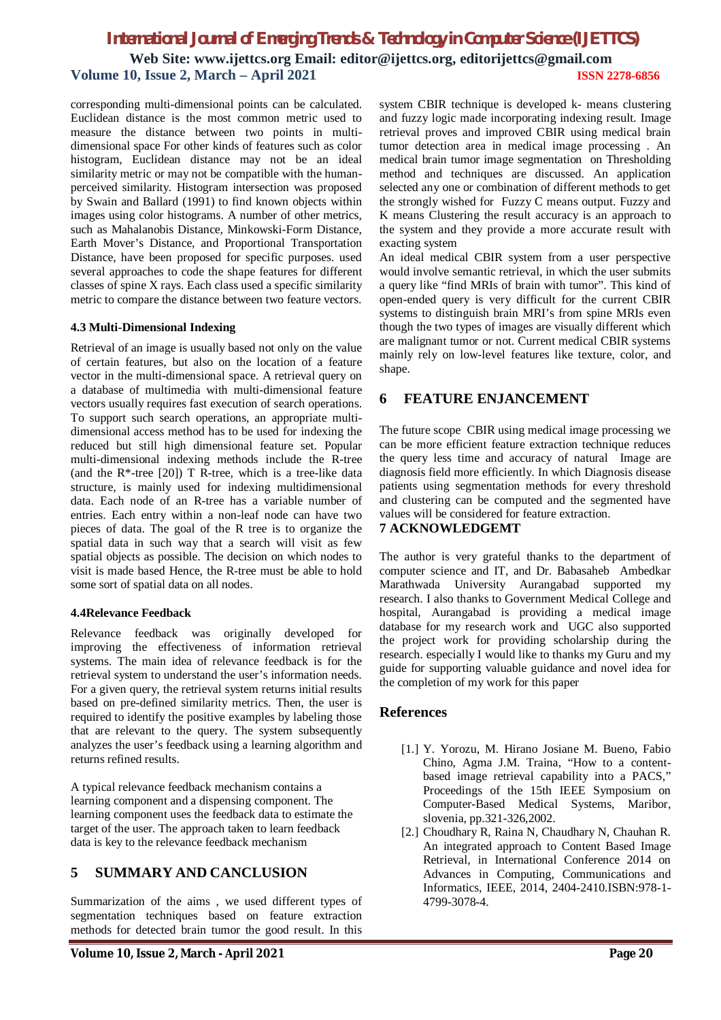## *International Journal of Emerging Trends & Technology in Computer Science (IJETTCS)* **Web Site: www.ijettcs.org Email: editor@ijettcs.org, editorijettcs@gmail.com Volume 10, Issue 2, March – April 2021 ISSN 2278-6856**

corresponding multi-dimensional points can be calculated. Euclidean distance is the most common metric used to measure the distance between two points in multidimensional space For other kinds of features such as color histogram, Euclidean distance may not be an ideal similarity metric or may not be compatible with the humanperceived similarity. Histogram intersection was proposed by Swain and Ballard (1991) to find known objects within images using color histograms. A number of other metrics, such as Mahalanobis Distance, Minkowski-Form Distance, Earth Mover's Distance, and Proportional Transportation Distance, have been proposed for specific purposes. used several approaches to code the shape features for different classes of spine X rays. Each class used a specific similarity metric to compare the distance between two feature vectors.

#### **4.3 Multi-Dimensional Indexing**

Retrieval of an image is usually based not only on the value of certain features, but also on the location of a feature vector in the multi-dimensional space. A retrieval query on a database of multimedia with multi-dimensional feature vectors usually requires fast execution of search operations. To support such search operations, an appropriate multidimensional access method has to be used for indexing the reduced but still high dimensional feature set. Popular multi-dimensional indexing methods include the R-tree (and the R\*-tree [20]) T R-tree, which is a tree-like data structure, is mainly used for indexing multidimensional data. Each node of an R-tree has a variable number of entries. Each entry within a non-leaf node can have two pieces of data. The goal of the R tree is to organize the spatial data in such way that a search will visit as few spatial objects as possible. The decision on which nodes to visit is made based Hence, the R-tree must be able to hold some sort of spatial data on all nodes.

#### **4.4Relevance Feedback**

Relevance feedback was originally developed for improving the effectiveness of information retrieval systems. The main idea of relevance feedback is for the retrieval system to understand the user's information needs. For a given query, the retrieval system returns initial results based on pre-defined similarity metrics. Then, the user is required to identify the positive examples by labeling those that are relevant to the query. The system subsequently analyzes the user's feedback using a learning algorithm and returns refined results.

A typical relevance feedback mechanism contains a learning component and a dispensing component. The learning component uses the feedback data to estimate the target of the user. The approach taken to learn feedback data is key to the relevance feedback mechanism

### **5 SUMMARY AND CANCLUSION**

Summarization of the aims , we used different types of segmentation techniques based on feature extraction methods for detected brain tumor the good result. In this

system CBIR technique is developed k- means clustering and fuzzy logic made incorporating indexing result. Image retrieval proves and improved CBIR using medical brain tumor detection area in medical image processing . An medical brain tumor image segmentation on Thresholding method and techniques are discussed. An application selected any one or combination of different methods to get the strongly wished for Fuzzy C means output. Fuzzy and K means Clustering the result accuracy is an approach to the system and they provide a more accurate result with exacting system

An ideal medical CBIR system from a user perspective would involve semantic retrieval, in which the user submits a query like "find MRIs of brain with tumor". This kind of open-ended query is very difficult for the current CBIR systems to distinguish brain MRI's from spine MRIs even though the two types of images are visually different which are malignant tumor or not. Current medical CBIR systems mainly rely on low-level features like texture, color, and shape.

#### **6 FEATURE ENJANCEMENT**

The future scope CBIR using medical image processing we can be more efficient feature extraction technique reduces the query less time and accuracy of natural Image are diagnosis field more efficiently. In which Diagnosis disease patients using segmentation methods for every threshold and clustering can be computed and the segmented have values will be considered for feature extraction.

#### **7 ACKNOWLEDGEMT**

The author is very grateful thanks to the department of computer science and IT, and Dr. Babasaheb Ambedkar Marathwada University Aurangabad supported my research. I also thanks to Government Medical College and hospital, Aurangabad is providing a medical image database for my research work and UGC also supported the project work for providing scholarship during the research. especially I would like to thanks my Guru and my guide for supporting valuable guidance and novel idea for the completion of my work for this paper

#### **References**

- [1.] Y. Yorozu, M. Hirano Josiane M. Bueno, Fabio Chino, Agma J.M. Traina, "How to a contentbased image retrieval capability into a PACS," Proceedings of the 15th IEEE Symposium on Computer-Based Medical Systems, Maribor, slovenia, pp.321-326,2002.
- [2.] Choudhary R, Raina N, Chaudhary N, Chauhan R. An integrated approach to Content Based Image Retrieval, in International Conference 2014 on Advances in Computing, Communications and Informatics, IEEE, 2014, 2404-2410.ISBN:978-1- 4799-3078-4.